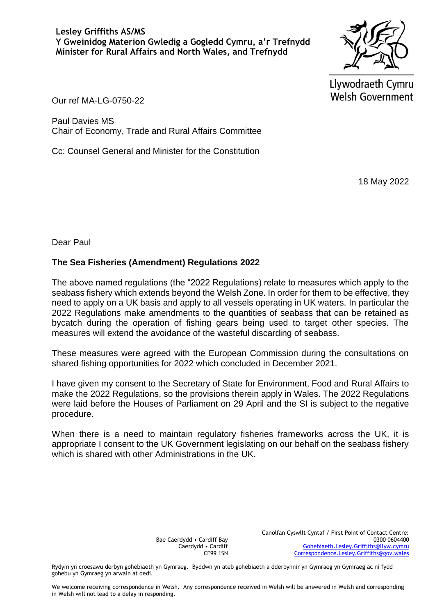

Llywodraeth Cymru **Welsh Government** 

Our ref MA-LG-0750-22

Paul Davies MS Chair of Economy, Trade and Rural Affairs Committee

Cc: Counsel General and Minister for the Constitution

18 May 2022

Dear Paul

## **The Sea Fisheries (Amendment) Regulations 2022**

The above named regulations (the "2022 Regulations) relate to measures which apply to the seabass fishery which extends beyond the Welsh Zone. In order for them to be effective, they need to apply on a UK basis and apply to all vessels operating in UK waters. In particular the 2022 Regulations make amendments to the quantities of seabass that can be retained as bycatch during the operation of fishing gears being used to target other species. The measures will extend the avoidance of the wasteful discarding of seabass.

These measures were agreed with the European Commission during the consultations on shared fishing opportunities for 2022 which concluded in December 2021.

I have given my consent to the Secretary of State for Environment, Food and Rural Affairs to make the 2022 Regulations, so the provisions therein apply in Wales. The 2022 Regulations were laid before the Houses of Parliament on 29 April and the SI is subject to the negative procedure.

When there is a need to maintain regulatory fisheries frameworks across the UK, it is appropriate I consent to the UK Government legislating on our behalf on the seabass fishery which is shared with other Administrations in the UK.

> Bae Caerdydd • Cardiff Bay Caerdydd • Cardiff CF99 1SN

Canolfan Cyswllt Cyntaf / First Point of Contact Centre: 0300 0604400 [Gohebiaeth.Lesley.Griffiths@llyw.cymru](mailto:Gohebiaeth.Lesley.Griffiths@llyw.cymru) [Correspondence.Lesley.Griffiths@gov.wales](mailto:Correspondence.Lesley.Griffiths@gov.wales)

Rydym yn croesawu derbyn gohebiaeth yn Gymraeg. Byddwn yn ateb gohebiaeth a dderbynnir yn Gymraeg yn Gymraeg ac ni fydd gohebu yn Gymraeg yn arwain at oedi.

We welcome receiving correspondence in Welsh. Any correspondence received in Welsh will be answered in Welsh and corresponding in Welsh will not lead to a delay in responding.